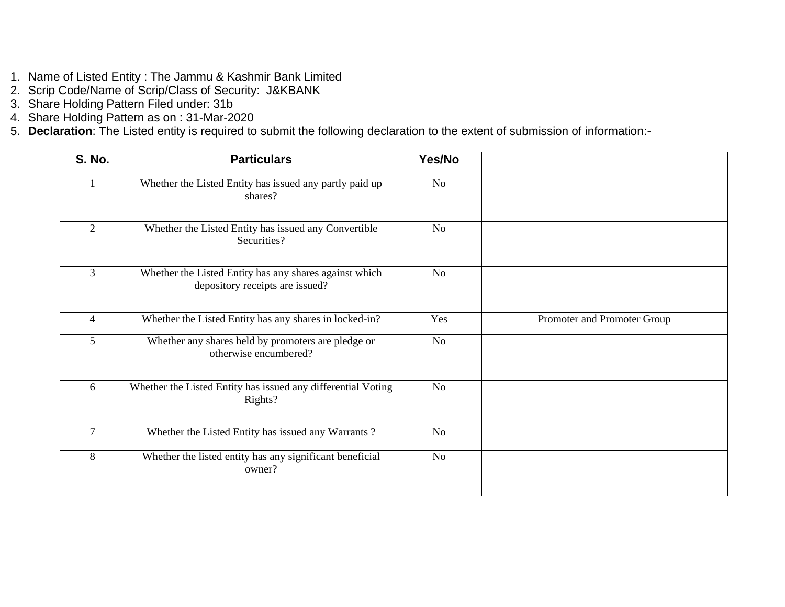- 1. Name of Listed Entity : The Jammu & Kashmir Bank Limited
- 2. Scrip Code/Name of Scrip/Class of Security: J&KBANK
- 3. Share Holding Pattern Filed under: 31b
- 4. Share Holding Pattern as on : 31-Mar-2020
- 5. **Declaration**: The Listed entity is required to submit the following declaration to the extent of submission of information:-

| <b>S. No.</b>  | <b>Particulars</b>                                                                        | Yes/No         |                             |
|----------------|-------------------------------------------------------------------------------------------|----------------|-----------------------------|
| $\mathbf{1}$   | Whether the Listed Entity has issued any partly paid up<br>shares?                        | N <sub>o</sub> |                             |
| $\overline{2}$ | Whether the Listed Entity has issued any Convertible<br>Securities?                       | N <sub>o</sub> |                             |
| $\overline{3}$ | Whether the Listed Entity has any shares against which<br>depository receipts are issued? | N <sub>o</sub> |                             |
| $\overline{4}$ | Whether the Listed Entity has any shares in locked-in?                                    | Yes            | Promoter and Promoter Group |
| 5              | Whether any shares held by promoters are pledge or<br>otherwise encumbered?               | No             |                             |
| 6              | Whether the Listed Entity has issued any differential Voting<br>Rights?                   | N <sub>o</sub> |                             |
| $\overline{7}$ | Whether the Listed Entity has issued any Warrants?                                        | No             |                             |
| 8              | Whether the listed entity has any significant beneficial<br>owner?                        | N <sub>o</sub> |                             |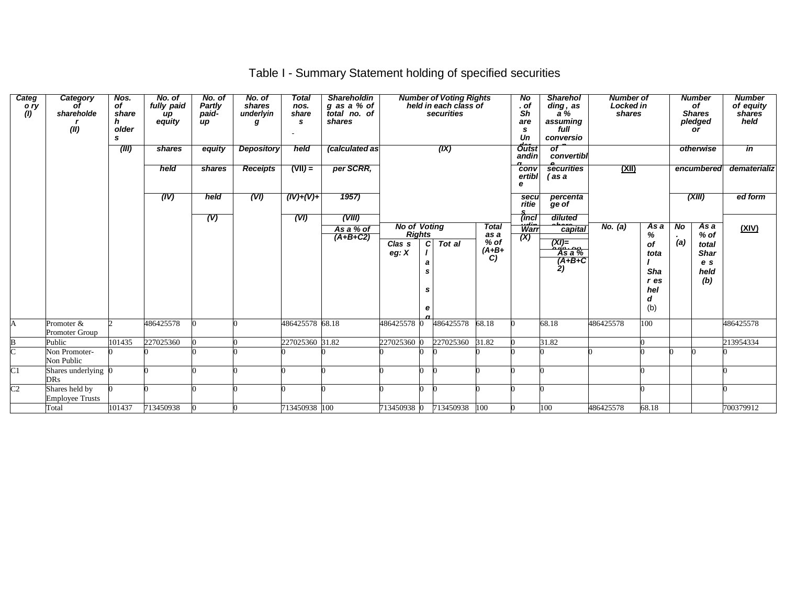## Table I - Summary Statement holding of specified securities

| Categ<br>o ry<br>(1) | <b>Category</b><br>Ωf<br>shareholde<br>(II) | Nos.<br>of<br>share<br>h<br>older<br>s | No. of<br>fully paid<br>иp<br>equity | No. of<br>Partly<br>paid-<br>$\boldsymbol{u}$ | No. of<br>shares<br>underlyin | <b>Total</b><br>nos.<br>share<br>s. | <b>Shareholdin</b><br>g as a % of<br>total no. of<br>shares |                                      |                        | <b>Number of Voting Rights</b><br>held in each class of<br>securities |                        | N <sub>o</sub><br>. of<br>Sh<br>are<br>s<br>Un | <b>Sharehol</b><br>ding, as<br>$\overline{a}$ %<br>assuming<br>full<br>conversio | <b>Number of</b><br>Locked in<br>shares |                                                |                | <b>Number</b><br>of<br><b>Shares</b><br>pledged<br>or | <b>Number</b><br>of equity<br>shares<br>held |
|----------------------|---------------------------------------------|----------------------------------------|--------------------------------------|-----------------------------------------------|-------------------------------|-------------------------------------|-------------------------------------------------------------|--------------------------------------|------------------------|-----------------------------------------------------------------------|------------------------|------------------------------------------------|----------------------------------------------------------------------------------|-----------------------------------------|------------------------------------------------|----------------|-------------------------------------------------------|----------------------------------------------|
|                      |                                             | (III)                                  | shares                               | equity                                        | <b>Depository</b>             | held                                | (calculated as                                              |                                      |                        | (IX)                                                                  |                        | <b>Outst</b><br>andin                          | $\sigma$<br>convertibl                                                           |                                         |                                                |                | otherwise                                             | in                                           |
|                      |                                             |                                        | held                                 | shares                                        | <b>Receipts</b>               | $(VII) =$                           | per SCRR,                                                   |                                      |                        |                                                                       |                        | conv<br>ertibl<br>е                            | securities<br>(as a                                                              | <u>(XII)</u>                            |                                                |                | encumbered                                            | dematerializ                                 |
|                      |                                             |                                        | (IV)                                 | held                                          | (VI)                          | $(IV)+(V)+$                         | 1957)                                                       |                                      |                        |                                                                       |                        | secu<br>ritie                                  | percenta<br>ge of                                                                |                                         |                                                |                | (XIII)                                                | ed form                                      |
|                      |                                             |                                        |                                      | (V)                                           |                               | (VI)                                | (VIII)<br>As a % of<br>$(A+B+C2)$                           | <b>No of Voting</b><br><b>Rights</b> |                        |                                                                       | <b>Total</b><br>as a   | (incl<br>wint<br>(X)                           | diluted<br>معمط<br>capital                                                       | No. (a)                                 | As a<br>%                                      | N <sub>o</sub> | As a<br>$%$ of                                        | (XIV)                                        |
|                      |                                             |                                        |                                      |                                               |                               |                                     |                                                             | Clas <sub>s</sub><br>eg: $X$         | $\mathbf{C}$<br>a<br>е | Tot al                                                                | $%$ of<br>$(A+B+$<br>C |                                                | $\begin{array}{c}\n(XI) = \\ \hline\n\end{array}$ As a %<br>$(A+B+C$<br>2)       |                                         | Οf<br>tota<br>Sha<br>$r$ es<br>hel<br>d<br>(b) | (a)            | total<br><b>Shar</b><br>e s<br>held<br>(b)            |                                              |
| A                    | Promoter &<br>Promoter Group                |                                        | 486425578                            |                                               |                               | 486425578 68.18                     |                                                             | 486425578 0                          |                        | 486425578                                                             | 68.18                  |                                                | 68.18                                                                            | 486425578                               | 100                                            |                |                                                       | 486425578                                    |
| B                    | Public                                      | 101435                                 | 227025360                            |                                               |                               | 227025360 31.82                     |                                                             | 227025360 0                          |                        | 227025360                                                             | 31.82                  |                                                | 31.82                                                                            |                                         |                                                |                |                                                       | 213954334                                    |
| $\overline{C}$       | Non Promoter-<br>Non Public                 |                                        |                                      |                                               |                               |                                     |                                                             |                                      |                        |                                                                       |                        |                                                |                                                                                  |                                         |                                                |                |                                                       |                                              |
| $\overline{C}1$      | Shares underlying 0<br>DRs                  |                                        |                                      |                                               |                               |                                     |                                                             |                                      | n.                     |                                                                       |                        |                                                |                                                                                  |                                         |                                                |                |                                                       |                                              |
| $\overline{C2}$      | Shares held by<br><b>Employee Trusts</b>    |                                        |                                      |                                               |                               |                                     |                                                             |                                      | ∩                      |                                                                       |                        |                                                |                                                                                  |                                         |                                                |                |                                                       |                                              |
|                      | Total                                       | 101437                                 | 713450938                            |                                               |                               | 713450938 100                       |                                                             | 713450938 0                          |                        | 713450938 100                                                         |                        |                                                | 100                                                                              | 486425578                               | 68.18                                          |                |                                                       | 700379912                                    |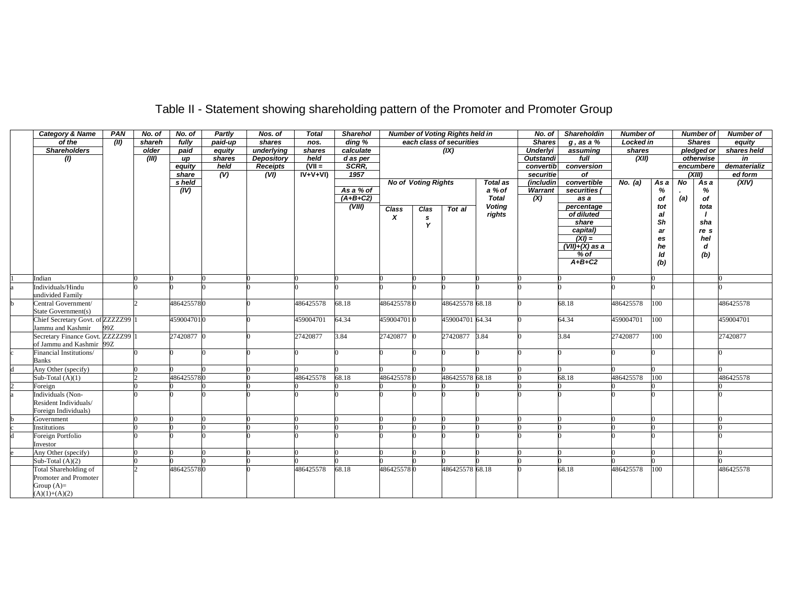| <b>Category &amp; Name</b>         | PAN           | No. of | No. of     | Partly                    | Nos. of           | <b>Total</b> | <b>Sharehol</b>     |            |                            | <b>Number of Voting Rights held in</b> |                 | No. of                    | <b>Shareholdin</b> | <b>Number of</b> |      |     | <b>Number of</b> | <b>Number of</b> |
|------------------------------------|---------------|--------|------------|---------------------------|-------------------|--------------|---------------------|------------|----------------------------|----------------------------------------|-----------------|---------------------------|--------------------|------------------|------|-----|------------------|------------------|
| of the                             | $\sqrt{(II)}$ | shareh | fully      | paid-up                   | shares            | nos.         | $\overline{diag}$ % |            |                            | each class of securities               |                 | <b>Shares</b>             | $g$ , as a $%$     | <b>Locked in</b> |      |     | <b>Shares</b>    | equity           |
| <b>Shareholders</b>                |               | older  | paid       | equity                    | underlying        | shares       | calculate           |            |                            | (IX)                                   |                 | Underlyi                  | assuming           | shares           |      |     | pledged or       | shares held      |
| (1)                                |               | (III)  | up         | shares                    | <b>Depository</b> | held         | d as per            |            |                            |                                        |                 | <b>Outstandi</b>          | full               | (XII)            |      |     | otherwise        | in               |
|                                    |               |        | equity     | held                      | <b>Receipts</b>   | $(VII =$     | SCRR.               |            |                            |                                        |                 | convertib                 | conversion         |                  |      |     | encumbere        | dematerializ     |
|                                    |               |        | share      | $\overline{(\mathsf{V})}$ | (VI)              | $IV+V+VI$    | 1957                |            |                            |                                        |                 | securitie                 | of                 |                  |      |     | (XIII)           | ed form          |
|                                    |               |        | s held     |                           |                   |              |                     |            | <b>No of Voting Rights</b> |                                        | <b>Total as</b> | <i>(includin)</i>         | convertible        | No. (a)          | As a | No  | As a             | (XIV)            |
|                                    |               |        | (IV)       |                           |                   |              | As a % of           |            |                            |                                        | a % of          | Warrant                   | securities (       |                  | %    |     | %                |                  |
|                                    |               |        |            |                           |                   |              | $(A+B+C2)$          |            |                            |                                        | <b>Total</b>    | $\overline{(\mathsf{X})}$ | as a               |                  | οf   | (a) | οf               |                  |
|                                    |               |        |            |                           |                   |              | (VIII)              | Class      | Clas                       | Tot al                                 | <b>Voting</b>   |                           | percentage         |                  | tot  |     | tota             |                  |
|                                    |               |        |            |                           |                   |              |                     | X          | s                          |                                        | rights          |                           | of diluted         |                  | al   |     |                  |                  |
|                                    |               |        |            |                           |                   |              |                     |            | Y                          |                                        |                 |                           | share              |                  | Sh   |     | sha              |                  |
|                                    |               |        |            |                           |                   |              |                     |            |                            |                                        |                 |                           | capital)           |                  | ar   |     | re s             |                  |
|                                    |               |        |            |                           |                   |              |                     |            |                            |                                        |                 |                           | $(XI) =$           |                  | es   |     | hel              |                  |
|                                    |               |        |            |                           |                   |              |                     |            |                            |                                        |                 |                           | $(VII)+(X)$ as a   |                  | he   |     | d                |                  |
|                                    |               |        |            |                           |                   |              |                     |            |                            |                                        |                 |                           | $%$ of<br>$A+B+C2$ |                  | ld   |     | (b)              |                  |
|                                    |               |        |            |                           |                   |              |                     |            |                            |                                        |                 |                           |                    |                  | (b)  |     |                  |                  |
| Indian                             |               |        |            |                           |                   |              |                     |            |                            |                                        |                 |                           |                    |                  |      |     |                  |                  |
| Individuals/Hindu                  |               |        |            |                           |                   |              |                     |            |                            |                                        |                 |                           |                    |                  |      |     |                  |                  |
| undivided Family                   |               |        |            |                           |                   |              |                     |            |                            |                                        |                 |                           |                    |                  |      |     |                  |                  |
| Central Government/                |               |        | 4864255780 |                           |                   | 486425578    | 68.18               | 4864255780 |                            | 486425578 68.18                        |                 |                           | 68.18              | 486425578        | 100  |     |                  | 486425578        |
| State Government(s)                |               |        |            |                           |                   |              |                     |            |                            |                                        |                 |                           |                    |                  |      |     |                  |                  |
| Chief Secretary Govt. of ZZZZZ299  |               |        | 4590047010 |                           |                   | 459004701    | 64.34               | 4590047010 |                            | 459004701 64.34                        |                 |                           | 64.34              | 459004701        | 100  |     |                  | 459004701        |
| Jammu and Kashmir                  | 99Z           |        |            |                           |                   |              |                     |            |                            |                                        |                 |                           |                    |                  |      |     |                  |                  |
| Secretary Finance Govt. ZZZZZ299 1 |               |        | 27420877 0 |                           |                   | 27420877     | 3.84                | 27420877 0 |                            | 27420877 3.84                          |                 |                           | 3.84               | 27420877         | 100  |     |                  | 27420877         |
| of Jammu and Kashmir 99Z           |               |        |            |                           |                   |              |                     |            |                            |                                        |                 |                           |                    |                  |      |     |                  |                  |
| Financial Institutions/            |               |        |            |                           |                   |              |                     |            |                            |                                        |                 |                           |                    |                  |      |     |                  |                  |
| <b>Banks</b>                       |               |        |            |                           |                   |              |                     |            |                            |                                        |                 |                           |                    |                  |      |     |                  |                  |
| Any Other (specify)                |               |        |            |                           |                   |              |                     |            |                            |                                        |                 |                           |                    |                  |      |     |                  |                  |
| Sub-Total $(A)(1)$                 |               |        | 4864255780 |                           |                   | 486425578    | 68.18               | 4864255780 |                            | 486425578 68.18                        |                 |                           | 68.18              | 486425578        | 100  |     |                  | 486425578        |
| Foreign                            |               |        |            |                           |                   |              |                     |            |                            |                                        |                 |                           |                    |                  |      |     |                  |                  |
| Individuals (Non-                  |               |        |            |                           |                   |              |                     |            |                            |                                        |                 |                           |                    |                  |      |     |                  |                  |
| Resident Individuals/              |               |        |            |                           |                   |              |                     |            |                            |                                        |                 |                           |                    |                  |      |     |                  |                  |
| Foreign Individuals)               |               |        |            |                           |                   |              |                     |            |                            |                                        |                 |                           |                    |                  |      |     |                  |                  |
| Government                         |               |        |            |                           |                   |              |                     |            |                            |                                        |                 |                           |                    |                  |      |     |                  |                  |
| Institutions                       |               |        |            |                           |                   |              |                     |            |                            |                                        |                 |                           |                    |                  |      |     |                  |                  |
| Foreign Portfolio                  |               |        |            |                           |                   |              |                     |            |                            |                                        |                 |                           |                    |                  |      |     |                  |                  |
| Investor                           |               |        |            |                           |                   |              |                     |            |                            |                                        |                 |                           |                    |                  |      |     |                  |                  |
| Any Other (specify)                |               |        |            |                           |                   |              |                     |            |                            |                                        |                 |                           |                    |                  |      |     |                  |                  |
| Sub-Total $(A)(2)$                 |               |        |            |                           |                   |              |                     |            |                            |                                        |                 |                           |                    |                  |      |     |                  |                  |
| Total Shareholding of              |               |        | 4864255780 |                           |                   | 486425578    | 68.18               | 4864255780 |                            | 486425578 68.18                        |                 |                           | 68.18              | 486425578        | 100  |     |                  | 486425578        |
| Promoter and Promoter              |               |        |            |                           |                   |              |                     |            |                            |                                        |                 |                           |                    |                  |      |     |                  |                  |
| Group $(A)=$                       |               |        |            |                           |                   |              |                     |            |                            |                                        |                 |                           |                    |                  |      |     |                  |                  |
| $(A)(1)+(A)(2)$                    |               |        |            |                           |                   |              |                     |            |                            |                                        |                 |                           |                    |                  |      |     |                  |                  |

# Table II - Statement showing shareholding pattern of the Promoter and Promoter Group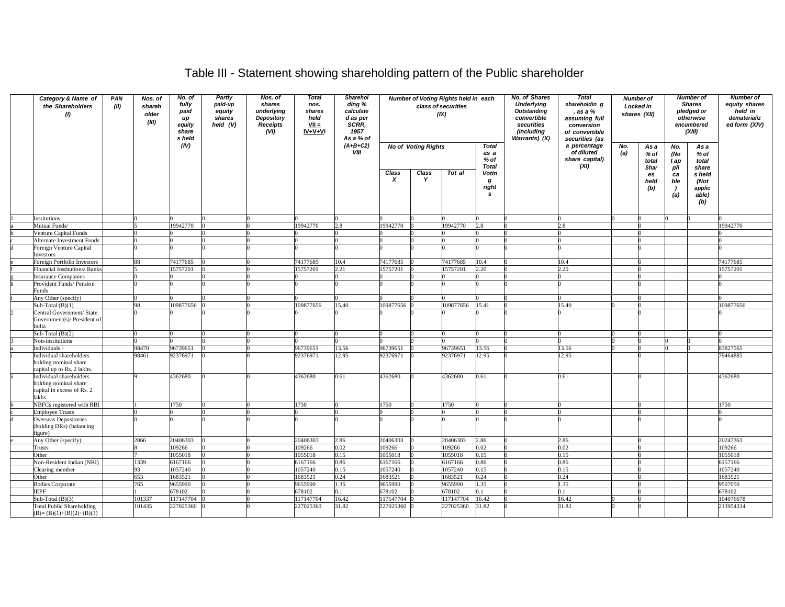### Table III - Statement showing shareholding pattern of the Public shareholder

| Category & Name of<br>the Shareholders<br>(1)                                            | PAN<br>(II) | Nos. of<br>shareh<br>older<br>(III) | No. of<br>fully<br>paid<br>иp<br>equity<br>share<br>s held | Partly<br>paid-up<br>equity<br>shares<br>held $(V)$ | Nos. of<br>shares<br>underlying<br>Depository<br><b>Receipts</b><br>(VI) | <b>Total</b><br>nos.<br>shares<br>held<br>$VII =$<br>$IV + V + VI$ | Sharehol<br>ding %<br>calculate<br>d as per<br>SCRR,<br>1957<br>As a % of |                           |                            | Number of Voting Rights held in each<br>class of securities<br>(IX) |                                              | No. of Shares<br><b>Underlying</b><br><b>Outstanding</b><br>convertible<br>securities<br>(including<br>Warrants) (X) | <b>Total</b><br>shareholdin g<br>, as a %<br>assuming full<br>conversion<br>of convertible<br>securities (as |            | Number of<br>Locked in<br>shares (XII) |                                    | <b>Number of</b><br><b>Shares</b><br>pledged or<br>otherwise<br>encumbered<br>(XIII) | <b>Number of</b><br>equity shares<br>held in<br>dematerializ<br>ed form (XIV) |
|------------------------------------------------------------------------------------------|-------------|-------------------------------------|------------------------------------------------------------|-----------------------------------------------------|--------------------------------------------------------------------------|--------------------------------------------------------------------|---------------------------------------------------------------------------|---------------------------|----------------------------|---------------------------------------------------------------------|----------------------------------------------|----------------------------------------------------------------------------------------------------------------------|--------------------------------------------------------------------------------------------------------------|------------|----------------------------------------|------------------------------------|--------------------------------------------------------------------------------------|-------------------------------------------------------------------------------|
|                                                                                          |             |                                     | (IV)                                                       |                                                     |                                                                          |                                                                    | $(A+B+C2)$<br><b>VIII</b>                                                 |                           | <b>No of Voting Rights</b> |                                                                     | <b>Total</b><br>as a<br>% of<br><b>Total</b> |                                                                                                                      | a percentage<br>of diluted<br>share capital)<br>(XI)                                                         | No.<br>(a) | As a<br>% of<br>total                  | No.<br>(No<br>t ap                 | As a<br>% of<br>total                                                                |                                                                               |
|                                                                                          |             |                                     |                                                            |                                                     |                                                                          |                                                                    |                                                                           | Class<br>$\boldsymbol{x}$ | Class<br>Y                 | Tot al                                                              | Votin<br>g<br>right<br>s                     |                                                                                                                      |                                                                                                              |            | Shar<br>es<br>held<br>(b)              | pli<br>ca<br>ble<br>$\cdot$<br>(a) | share<br>s held<br>(Not<br>applic<br>able)<br>(b)                                    |                                                                               |
| Institutions                                                                             |             |                                     |                                                            |                                                     |                                                                          |                                                                    |                                                                           |                           |                            |                                                                     |                                              |                                                                                                                      |                                                                                                              |            |                                        |                                    |                                                                                      |                                                                               |
| Mutual Funds/                                                                            |             |                                     | 19942770                                                   |                                                     |                                                                          | 9942770                                                            |                                                                           | 19942770                  |                            | 9942770                                                             | 28                                           |                                                                                                                      | 2.8                                                                                                          |            |                                        |                                    |                                                                                      | 9942770                                                                       |
| Venture Capital Funds                                                                    |             |                                     |                                                            |                                                     |                                                                          |                                                                    |                                                                           |                           |                            |                                                                     |                                              |                                                                                                                      |                                                                                                              |            |                                        |                                    |                                                                                      |                                                                               |
| <b>Alternate Investment Funds</b>                                                        |             |                                     |                                                            |                                                     |                                                                          |                                                                    |                                                                           |                           |                            |                                                                     |                                              |                                                                                                                      |                                                                                                              |            |                                        |                                    |                                                                                      |                                                                               |
| Foreign Venture Capital<br>Investors                                                     |             |                                     |                                                            |                                                     |                                                                          |                                                                    |                                                                           |                           |                            |                                                                     |                                              |                                                                                                                      |                                                                                                              |            |                                        |                                    |                                                                                      |                                                                               |
| Foreign Portfolio Investors                                                              |             | 88                                  | 74177685                                                   |                                                     |                                                                          | 74177685                                                           | 10.4                                                                      | 74177685                  |                            | 74177685                                                            | 10.4                                         |                                                                                                                      | 10.4                                                                                                         |            |                                        |                                    |                                                                                      | 74177685                                                                      |
| Financial Institutions/ Banks                                                            |             |                                     | 15757201                                                   |                                                     |                                                                          | 5757201                                                            | 2.21                                                                      | 15757201                  |                            | 5757201                                                             | 2.20                                         |                                                                                                                      | 2.20                                                                                                         |            |                                        |                                    |                                                                                      | 15757201                                                                      |
| nsurance Companies                                                                       |             |                                     |                                                            |                                                     |                                                                          |                                                                    |                                                                           |                           |                            |                                                                     |                                              |                                                                                                                      |                                                                                                              |            |                                        |                                    |                                                                                      |                                                                               |
| Provident Funds/ Pension<br>Funds                                                        |             |                                     |                                                            |                                                     |                                                                          |                                                                    |                                                                           |                           |                            |                                                                     |                                              |                                                                                                                      |                                                                                                              |            |                                        |                                    |                                                                                      |                                                                               |
| Any Other (specify)                                                                      |             |                                     |                                                            |                                                     |                                                                          |                                                                    |                                                                           |                           |                            |                                                                     |                                              |                                                                                                                      |                                                                                                              |            |                                        |                                    |                                                                                      |                                                                               |
| Sub-Total $(B)(1)$                                                                       |             | 98                                  | 109877656                                                  |                                                     |                                                                          | 09877656                                                           | 15.40                                                                     | 109877656                 |                            | 109877656                                                           | 15.41                                        |                                                                                                                      | 15.40                                                                                                        |            |                                        |                                    |                                                                                      | 109877656                                                                     |
| Central Government/ State<br>Government(s)/ President of<br>India                        |             |                                     |                                                            |                                                     |                                                                          |                                                                    |                                                                           |                           |                            |                                                                     |                                              |                                                                                                                      |                                                                                                              |            |                                        |                                    |                                                                                      |                                                                               |
| Sub-Total $(B)(2)$                                                                       |             | $\Omega$                            |                                                            | 0                                                   |                                                                          |                                                                    |                                                                           |                           |                            |                                                                     |                                              |                                                                                                                      |                                                                                                              |            |                                        |                                    |                                                                                      |                                                                               |
| Non-institutions                                                                         |             |                                     |                                                            |                                                     |                                                                          |                                                                    |                                                                           |                           |                            |                                                                     |                                              |                                                                                                                      |                                                                                                              |            |                                        |                                    |                                                                                      |                                                                               |
| Individuals -                                                                            |             | 98470                               | 96739651                                                   |                                                     |                                                                          | 96739651                                                           | 13.56                                                                     | 96739651                  |                            | 96739651                                                            | 13.56                                        |                                                                                                                      | 13.56                                                                                                        |            |                                        |                                    |                                                                                      | 83827565                                                                      |
| Individual shareholders<br>holding nominal share<br>capital up to Rs. 2 lakhs.           |             | 98461                               | 92376971                                                   |                                                     |                                                                          | 2376971                                                            | 12.95                                                                     | 92376971                  |                            | 92376971                                                            | 12.95                                        |                                                                                                                      | 12.95                                                                                                        |            |                                        |                                    |                                                                                      | 9464885                                                                       |
| Individual shareholders<br>holding nominal share<br>capital in excess of Rs. 2<br>lakhs. |             |                                     | 4362680                                                    |                                                     |                                                                          | 4362680                                                            | 0.61                                                                      | 362680                    |                            | 1362680                                                             | 0.61                                         |                                                                                                                      | 0.61                                                                                                         |            |                                        |                                    |                                                                                      | 1362680                                                                       |
| NBFCs registered with RBI                                                                |             |                                     | 1750                                                       |                                                     |                                                                          | 1750                                                               |                                                                           | 750                       |                            | 750                                                                 |                                              |                                                                                                                      |                                                                                                              |            |                                        |                                    |                                                                                      | 1750                                                                          |
| <b>Employee Trusts</b>                                                                   |             |                                     |                                                            |                                                     |                                                                          |                                                                    |                                                                           |                           |                            |                                                                     |                                              |                                                                                                                      |                                                                                                              |            |                                        |                                    |                                                                                      |                                                                               |
| Overseas Depositories<br>(holding DRs) (balancing<br>figure)                             |             |                                     |                                                            |                                                     |                                                                          |                                                                    |                                                                           |                           |                            |                                                                     |                                              |                                                                                                                      |                                                                                                              |            |                                        |                                    |                                                                                      |                                                                               |
| Any Other (specify)                                                                      |             | 2866                                | 20406303                                                   |                                                     |                                                                          | 20406303                                                           | 2.86                                                                      | 20406303                  |                            | 20406303                                                            | 2.86                                         |                                                                                                                      | 2.86                                                                                                         |            |                                        |                                    |                                                                                      | 20247363                                                                      |
| Trusts                                                                                   |             |                                     | 109266                                                     |                                                     |                                                                          | 109266                                                             | 0.02                                                                      | 109266                    |                            | 109266                                                              | 0.02                                         |                                                                                                                      | 0.02                                                                                                         |            |                                        |                                    |                                                                                      | 109266                                                                        |
| Other                                                                                    |             |                                     | 1055018                                                    |                                                     |                                                                          | 055018                                                             | 0.15                                                                      | 055018                    |                            | 055018                                                              | 0.15                                         |                                                                                                                      | 0.15                                                                                                         |            |                                        |                                    |                                                                                      | 1055018                                                                       |
| Non-Resident Indian (NRI)                                                                |             | 1339                                | 6167166                                                    |                                                     |                                                                          | 5167166                                                            | 0.86                                                                      | 6167166                   |                            | 5167166                                                             | 0.86                                         |                                                                                                                      | 0.86                                                                                                         |            |                                        |                                    |                                                                                      | 6157166                                                                       |
| Clearing member                                                                          |             | 93                                  | 1057240                                                    |                                                     |                                                                          | 1057240                                                            | 0.15                                                                      | 1057240                   |                            | 1057240                                                             | 0.15                                         |                                                                                                                      | 0.15                                                                                                         |            |                                        |                                    |                                                                                      | 1057240                                                                       |
| Other                                                                                    |             | 653                                 | 1683521                                                    |                                                     |                                                                          | 1683521                                                            | 0.24                                                                      | 1683521                   |                            | 683521                                                              | 0.24                                         |                                                                                                                      | 0.24                                                                                                         |            |                                        |                                    |                                                                                      | 1683521                                                                       |
| <b>Bodies Corporate</b>                                                                  |             | 765                                 | 9655990                                                    |                                                     |                                                                          | 9655990                                                            | 1.35                                                                      | 9655990                   |                            | 9655990                                                             | 1.35                                         |                                                                                                                      | 1.35                                                                                                         |            |                                        |                                    |                                                                                      | 9507050                                                                       |
| <b>IEPF</b>                                                                              |             |                                     | 678102                                                     |                                                     |                                                                          | 578102                                                             | 0.1                                                                       | 578102                    |                            | 578102                                                              | 0.1                                          |                                                                                                                      | 0.1                                                                                                          |            |                                        |                                    |                                                                                      | 678102                                                                        |
| Sub-Total $(B)(3)$                                                                       |             | 101337                              | 117147704                                                  |                                                     |                                                                          | 17147704                                                           | 16.42                                                                     | 17147704                  |                            | 17147704                                                            | 16.42                                        |                                                                                                                      | 16.42                                                                                                        |            |                                        |                                    |                                                                                      | 04076678                                                                      |
| <b>Total Public Shareholding</b><br>$(B)=(B)(1)+(B)(2)+(B)(3)$                           |             | 101435                              | 227025360                                                  |                                                     |                                                                          | 227025360                                                          | 31.82                                                                     | 227025360                 |                            | 227025360                                                           | 31.82                                        |                                                                                                                      | 31.82                                                                                                        |            |                                        |                                    |                                                                                      | 213954334                                                                     |